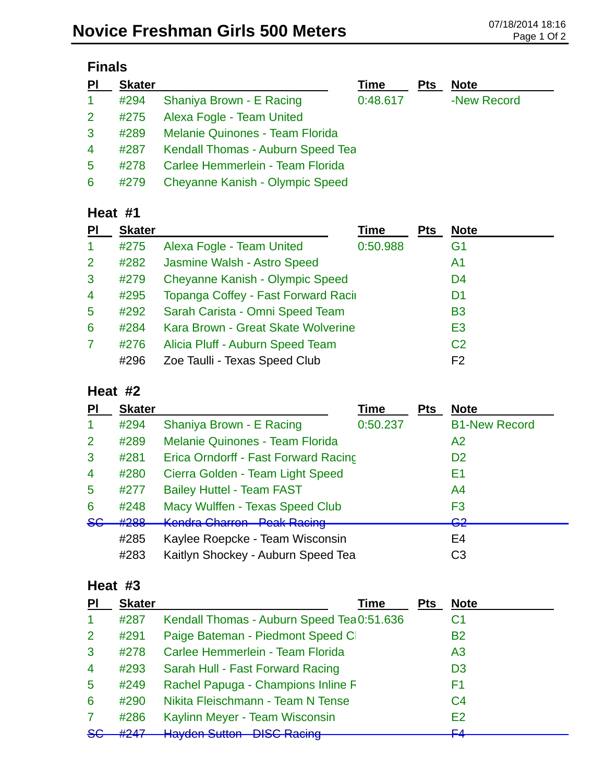| <b>Finals</b>  |               |                                        |          |            |             |  |
|----------------|---------------|----------------------------------------|----------|------------|-------------|--|
| PI             | <b>Skater</b> |                                        | Time     | <b>Pts</b> | <b>Note</b> |  |
| $\mathbf 1$    | #294          | Shaniya Brown - E Racing               | 0:48.617 |            | -New Record |  |
| $\overline{2}$ | #275          | Alexa Fogle - Team United              |          |            |             |  |
| $\mathbf{3}$   | #289          | <b>Melanie Quinones - Team Florida</b> |          |            |             |  |
| $\overline{4}$ | #287          | Kendall Thomas - Auburn Speed Tea      |          |            |             |  |
| 5              | #278          | Carlee Hemmerlein - Team Florida       |          |            |             |  |
| 6              | #279          | <b>Cheyanne Kanish - Olympic Speed</b> |          |            |             |  |

#### **Heat #1**

| PI             | <b>Skater</b> |                                            | <b>Time</b> | <b>Pts</b> | <b>Note</b>    |
|----------------|---------------|--------------------------------------------|-------------|------------|----------------|
| $\mathbf{1}$   | #275          | Alexa Fogle - Team United                  | 0:50.988    |            | G1             |
| 2              | #282          | Jasmine Walsh - Astro Speed                |             |            | A1             |
| 3              | #279          | <b>Cheyanne Kanish - Olympic Speed</b>     |             |            | D <sub>4</sub> |
| $\overline{4}$ | #295          | <b>Topanga Coffey - Fast Forward Racir</b> |             |            | D <sub>1</sub> |
| 5              | #292          | Sarah Carista - Omni Speed Team            |             |            | <b>B3</b>      |
| 6              | #284          | Kara Brown - Great Skate Wolverine         |             |            | E <sub>3</sub> |
| 7              | #276          | Alicia Pluff - Auburn Speed Team           |             |            | C <sub>2</sub> |
|                | #296          | Zoe Taulli - Texas Speed Club              |             |            | F <sub>2</sub> |

### **Heat #2**

| PI            | <b>Skater</b> |                                             | <b>Time</b> | <b>Pts</b> | <b>Note</b>          |
|---------------|---------------|---------------------------------------------|-------------|------------|----------------------|
|               | #294          | Shaniya Brown - E Racing                    | 0:50.237    |            | <b>B1-New Record</b> |
| 2             | #289          | <b>Melanie Quinones - Team Florida</b>      |             |            | A <sub>2</sub>       |
| 3             | #281          | Erica Orndorff - Fast Forward Racing        |             |            | D <sub>2</sub>       |
| 4             | #280          | Cierra Golden - Team Light Speed            |             |            | E1                   |
| 5             | #277          | <b>Bailey Huttel - Team FAST</b>            |             |            | A4                   |
| 6             | #248          | Macy Wulffen - Texas Speed Club             |             |            | F3                   |
| <del>S€</del> | #288          | Kandra Charran Daak Daaina<br>nonura onanon |             |            | ററ<br><del>oz</del>  |
|               | #285          | Kaylee Roepcke - Team Wisconsin             |             |            | E4                   |
|               | #283          | Kaitlyn Shockey - Auburn Speed Tea          |             |            | C <sub>3</sub>       |

### **Heat #3**

| PI             | <b>Skater</b>                 | Time                                       | Pts | <b>Note</b>    |
|----------------|-------------------------------|--------------------------------------------|-----|----------------|
| -1             | #287                          | Kendall Thomas - Auburn Speed Tea 0:51.636 |     | C1             |
| 2              | #291                          | Paige Bateman - Piedmont Speed Cl          |     | <b>B2</b>      |
| 3              | #278                          | Carlee Hemmerlein - Team Florida           |     | A <sub>3</sub> |
| $\overline{4}$ | #293                          | Sarah Hull - Fast Forward Racing           |     | D <sub>3</sub> |
| -5             | #249                          | Rachel Papuga - Champions Inline F         |     | F1             |
| 6              | #290                          | Nikita Fleischmann - Team N Tense          |     | C <sub>4</sub> |
| 7              | #286                          | Kaylinn Meyer - Team Wisconsin             |     | E2             |
| <b>SG</b>      | H <sub>2</sub> A <sub>7</sub> | <b>Hayden Sutton - DISC Racing</b>         |     | EΛ             |